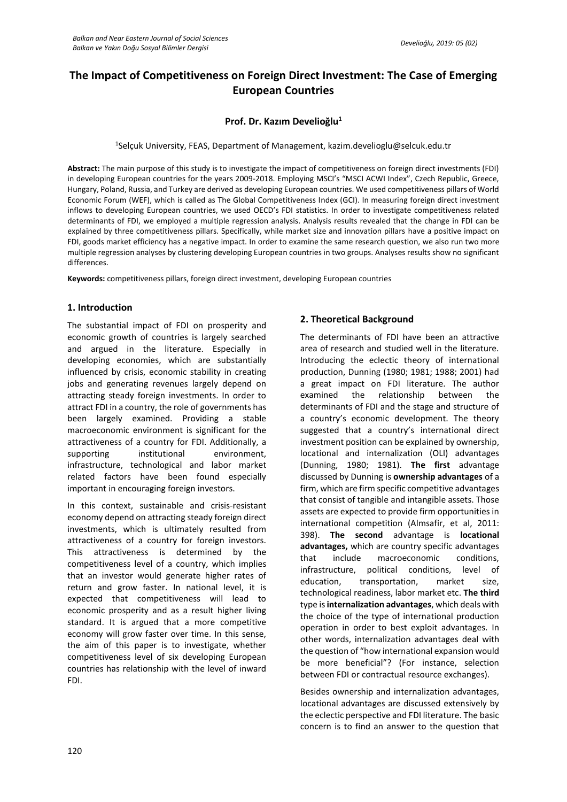# **The Impact of Competitiveness on Foreign Direct Investment: The Case of Emerging European Countries**

# **Prof. Dr. Kazım Develioğlu<sup>1</sup>**

1 Selçuk University, FEAS, Department of Management, kazim.develioglu@selcuk.edu.tr

**Abstract:** The main purpose of this study is to investigate the impact of competitiveness on foreign direct investments (FDI) in developing European countries for the years 2009-2018. Employing MSCI's "MSCI ACWI Index", Czech Republic, Greece, Hungary, Poland, Russia, and Turkey are derived as developing European countries. We used competitiveness pillars of World Economic Forum (WEF), which is called as The Global Competitiveness Index (GCI). In measuring foreign direct investment inflows to developing European countries, we used OECD's FDI statistics. In order to investigate competitiveness related determinants of FDI, we employed a multiple regression analysis. Analysis results revealed that the change in FDI can be explained by three competitiveness pillars. Specifically, while market size and innovation pillars have a positive impact on FDI, goods market efficiency has a negative impact. In order to examine the same research question, we also run two more multiple regression analyses by clustering developing European countries in two groups. Analyses results show no significant differences.

**Keywords:** competitiveness pillars, foreign direct investment, developing European countries

# **1. Introduction**

The substantial impact of FDI on prosperity and economic growth of countries is largely searched and argued in the literature. Especially in developing economies, which are substantially influenced by crisis, economic stability in creating jobs and generating revenues largely depend on attracting steady foreign investments. In order to attract FDI in a country, the role of governments has been largely examined. Providing a stable macroeconomic environment is significant for the attractiveness of a country for FDI. Additionally, a supporting institutional environment, infrastructure, technological and labor market related factors have been found especially important in encouraging foreign investors.

In this context, sustainable and crisis-resistant economy depend on attracting steady foreign direct investments, which is ultimately resulted from attractiveness of a country for foreign investors. This attractiveness is determined by the competitiveness level of a country, which implies that an investor would generate higher rates of return and grow faster. In national level, it is expected that competitiveness will lead to economic prosperity and as a result higher living standard. It is argued that a more competitive economy will grow faster over time. In this sense, the aim of this paper is to investigate, whether competitiveness level of six developing European countries has relationship with the level of inward FDI.

# **2. Theoretical Background**

The determinants of FDI have been an attractive area of research and studied well in the literature. Introducing the eclectic theory of international production, Dunning (1980; 1981; 1988; 2001) had a great impact on FDI literature. The author examined the relationship between the determinants of FDI and the stage and structure of a country's economic development. The theory suggested that a country's international direct investment position can be explained by ownership, locational and internalization (OLI) advantages (Dunning, 1980; 1981). **The first** advantage discussed by Dunning is **ownership advantages** of a firm, which are firm specific competitive advantages that consist of tangible and intangible assets. Those assets are expected to provide firm opportunities in international competition (Almsafir, et al, 2011: 398). **The second** advantage is **locational advantages,** which are country specific advantages that include macroeconomic conditions, infrastructure, political conditions, level of education, transportation, market size, technological readiness, labor market etc. **The third**  type is **internalization advantages**, which deals with the choice of the type of international production operation in order to best exploit advantages. In other words, internalization advantages deal with the question of "how international expansion would be more beneficial"? (For instance, selection between FDI or contractual resource exchanges).

Besides ownership and internalization advantages, locational advantages are discussed extensively by the eclectic perspective and FDI literature. The basic concern is to find an answer to the question that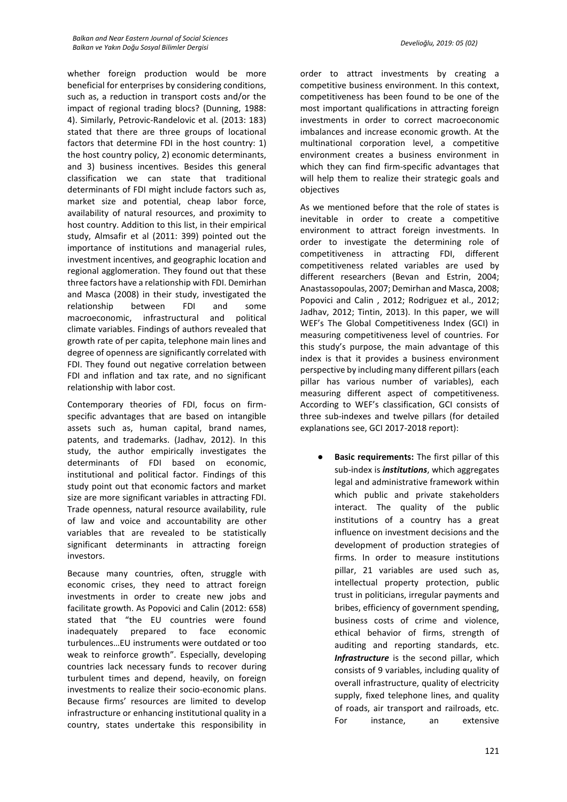whether foreign production would be more beneficial for enterprises by considering conditions, such as, a reduction in transport costs and/or the impact of regional trading blocs? (Dunning, 1988: 4). Similarly, Petrovic-Randelovic et al. (2013: 183) stated that there are three groups of locational factors that determine FDI in the host country: 1) the host country policy, 2) economic determinants, and 3) business incentives. Besides this general classification we can state that traditional determinants of FDI might include factors such as, market size and potential, cheap labor force, availability of natural resources, and proximity to host country. Addition to this list, in their empirical study, Almsafir et al (2011: 399) pointed out the importance of institutions and managerial rules, investment incentives, and geographic location and regional agglomeration. They found out that these three factors have a relationship with FDI. Demirhan and Masca (2008) in their study, investigated the relationship between FDI and some macroeconomic, infrastructural and political climate variables. Findings of authors revealed that growth rate of per capita, telephone main lines and degree of openness are significantly correlated with FDI. They found out negative correlation between FDI and inflation and tax rate, and no significant relationship with labor cost.

Contemporary theories of FDI, focus on firmspecific advantages that are based on intangible assets such as, human capital, brand names, patents, and trademarks. (Jadhav, 2012). In this study, the author empirically investigates the determinants of FDI based on economic, institutional and political factor. Findings of this study point out that economic factors and market size are more significant variables in attracting FDI. Trade openness, natural resource availability, rule of law and voice and accountability are other variables that are revealed to be statistically significant determinants in attracting foreign investors.

Because many countries, often, struggle with economic crises, they need to attract foreign investments in order to create new jobs and facilitate growth. As Popovici and Calin (2012: 658) stated that "the EU countries were found inadequately prepared to face economic turbulences…EU instruments were outdated or too weak to reinforce growth". Especially, developing countries lack necessary funds to recover during turbulent times and depend, heavily, on foreign investments to realize their socio-economic plans. Because firms' resources are limited to develop infrastructure or enhancing institutional quality in a country, states undertake this responsibility in order to attract investments by creating a competitive business environment. In this context, competitiveness has been found to be one of the most important qualifications in attracting foreign investments in order to correct macroeconomic imbalances and increase economic growth. At the multinational corporation level, a competitive environment creates a business environment in which they can find firm-specific advantages that will help them to realize their strategic goals and objectives

As we mentioned before that the role of states is inevitable in order to create a competitive environment to attract foreign investments. In order to investigate the determining role of competitiveness in attracting FDI, different competitiveness related variables are used by different researchers (Bevan and Estrin, 2004; Anastassopoulas, 2007; Demirhan and Masca, 2008; Popovici and Calin , 2012; Rodriguez et al., 2012; Jadhav, 2012; Tintin, 2013). In this paper, we will WEF's The Global Competitiveness Index (GCI) in measuring competitiveness level of countries. For this study's purpose, the main advantage of this index is that it provides a business environment perspective by including many different pillars (each pillar has various number of variables), each measuring different aspect of competitiveness. According to WEF's classification, GCI consists of three sub-indexes and twelve pillars (for detailed explanations see, GCI 2017-2018 report):

**Basic requirements:** The first pillar of this sub-index is *institutions*, which aggregates legal and administrative framework within which public and private stakeholders interact. The quality of the public institutions of a country has a great influence on investment decisions and the development of production strategies of firms. In order to measure institutions pillar, 21 variables are used such as, intellectual property protection, public trust in politicians, irregular payments and bribes, efficiency of government spending, business costs of crime and violence, ethical behavior of firms, strength of auditing and reporting standards, etc. *Infrastructure* is the second pillar, which consists of 9 variables, including quality of overall infrastructure, quality of electricity supply, fixed telephone lines, and quality of roads, air transport and railroads, etc. For instance, an extensive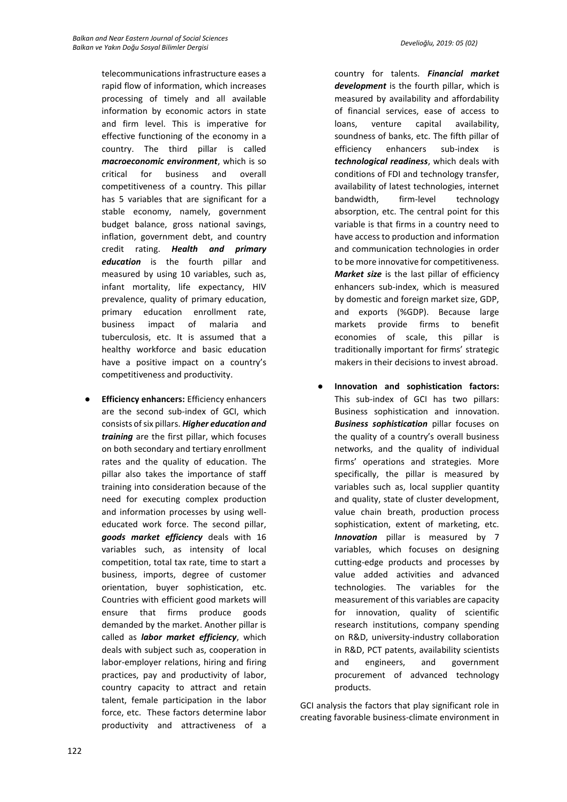telecommunications infrastructure eases a rapid flow of information, which increases processing of timely and all available information by economic actors in state and firm level. This is imperative for effective functioning of the economy in a country. The third pillar is called *macroeconomic environment*, which is so critical for business and overall competitiveness of a country. This pillar has 5 variables that are significant for a stable economy, namely, government budget balance, gross national savings, inflation, government debt, and country credit rating. *Health and primary education* is the fourth pillar and measured by using 10 variables, such as, infant mortality, life expectancy, HIV prevalence, quality of primary education, primary education enrollment rate, business impact of malaria and tuberculosis, etc. It is assumed that a healthy workforce and basic education have a positive impact on a country's competitiveness and productivity.

**Efficiency enhancers: Efficiency enhancers** are the second sub-index of GCI, which consists of six pillars. *Higher education and training* are the first pillar, which focuses on both secondary and tertiary enrollment rates and the quality of education. The pillar also takes the importance of staff training into consideration because of the need for executing complex production and information processes by using welleducated work force. The second pillar, *goods market efficiency* deals with 16 variables such, as intensity of local competition, total tax rate, time to start a business, imports, degree of customer orientation, buyer sophistication, etc. Countries with efficient good markets will ensure that firms produce goods demanded by the market. Another pillar is called as *labor market efficiency*, which deals with subject such as, cooperation in labor-employer relations, hiring and firing practices, pay and productivity of labor, country capacity to attract and retain talent, female participation in the labor force, etc. These factors determine labor productivity and attractiveness of a

country for talents. *Financial market development* is the fourth pillar, which is measured by availability and affordability of financial services, ease of access to loans, venture capital availability, soundness of banks, etc. The fifth pillar of efficiency enhancers sub-index is *technological readiness*, which deals with conditions of FDI and technology transfer, availability of latest technologies, internet bandwidth, firm-level technology absorption, etc. The central point for this variable is that firms in a country need to have access to production and information and communication technologies in order to be more innovative for competitiveness. *Market size* is the last pillar of efficiency enhancers sub-index, which is measured by domestic and foreign market size, GDP, and exports (%GDP). Because large markets provide firms to benefit economies of scale, this pillar is traditionally important for firms' strategic makers in their decisions to invest abroad.

● **Innovation and sophistication factors:** This sub-index of GCI has two pillars: Business sophistication and innovation. *Business sophistication* pillar focuses on the quality of a country's overall business networks, and the quality of individual firms' operations and strategies. More specifically, the pillar is measured by variables such as, local supplier quantity and quality, state of cluster development, value chain breath, production process sophistication, extent of marketing, etc. *Innovation* pillar is measured by 7 variables, which focuses on designing cutting-edge products and processes by value added activities and advanced technologies. The variables for the measurement of this variables are capacity for innovation, quality of scientific research institutions, company spending on R&D, university-industry collaboration in R&D, PCT patents, availability scientists and engineers, and government procurement of advanced technology products.

GCI analysis the factors that play significant role in creating favorable business-climate environment in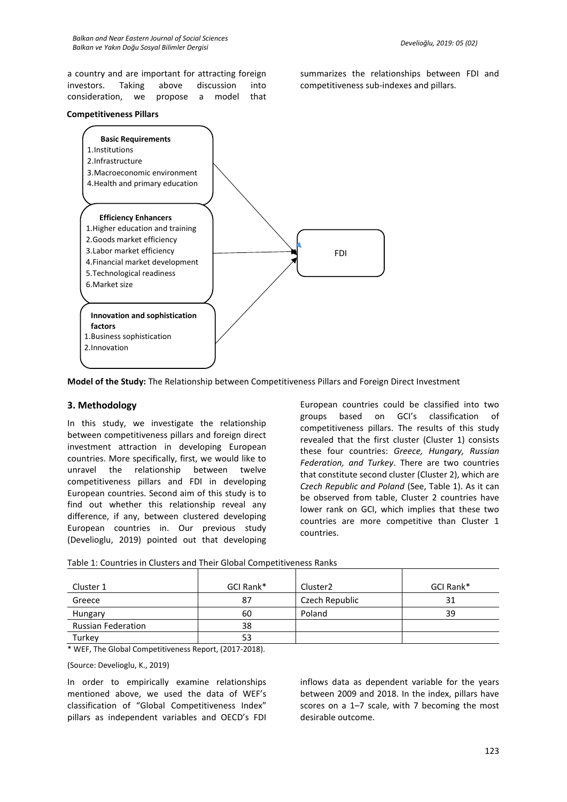a country and are important for attracting foreign investors. Taking above discussion into consideration, we propose a model that

#### **Competitiveness Pillars**



summarizes the relationships between FDI and competitiveness sub-indexes and pillars.

**Model of the Study:** The Relationship between Competitiveness Pillars and Foreign Direct Investment

#### **3. Methodology**

In this study, we investigate the relationship between competitiveness pillars and foreign direct investment attraction in developing European countries. More specifically, first, we would like to unravel the relationship between twelve competitiveness pillars and FDI in developing European countries. Second aim of this study is to find out whether this relationship reveal any difference, if any, between clustered developing European countries in. Our previous study (Develioglu, 2019) pointed out that developing

European countries could be classified into two groups based on GCI's classification of competitiveness pillars. The results of this study revealed that the first cluster (Cluster 1) consists these four countries: *Greece, Hungary, Russian Federation, and Turkey*. There are two countries that constitute second cluster (Cluster 2), which are *Czech Republic and Poland* (See, Table 1). As it can be observed from table, Cluster 2 countries have lower rank on GCI, which implies that these two countries are more competitive than Cluster 1 countries.

| Cluster 1                 | GCI Rank* | Cluster <sub>2</sub> | GCI Rank* |
|---------------------------|-----------|----------------------|-----------|
| Greece                    | 87        | Czech Republic       | 31        |
| Hungary                   | 60        | Poland               | 39        |
| <b>Russian Federation</b> | 38        |                      |           |
| Turkey                    | 53        |                      |           |

Table 1: Countries in Clusters and Their Global Competitiveness Ranks

\* WEF, The Global Competitiveness Report, (2017-2018).

#### (Source: Develioglu, K., 2019)

In order to empirically examine relationships mentioned above, we used the data of WEF's classification of "Global Competitiveness Index" pillars as independent variables and OECD's FDI

inflows data as dependent variable for the years between 2009 and 2018. In the index, pillars have scores on a 1–7 scale, with 7 becoming the most desirable outcome.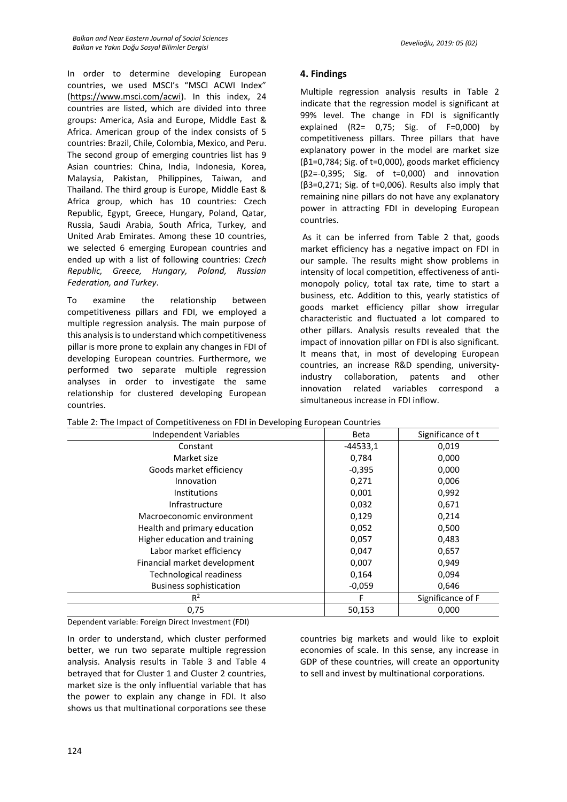In order to determine developing European countries, we used MSCI's "MSCI ACWI Index" [\(https://www.msci.com/acwi\)](https://www.msci.com/acwi). In this index, 24 countries are listed, which are divided into three groups: America, Asia and Europe, Middle East & Africa. American group of the index consists of 5 countries: Brazil, Chile, Colombia, Mexico, and Peru. The second group of emerging countries list has 9 Asian countries: China, India, Indonesia, Korea, Malaysia, Pakistan, Philippines, Taiwan, and Thailand. The third group is Europe, Middle East & Africa group, which has 10 countries: Czech Republic, Egypt, Greece, Hungary, Poland, Qatar, Russia, Saudi Arabia, South Africa, Turkey, and United Arab Emirates. Among these 10 countries, we selected 6 emerging European countries and ended up with a list of following countries: *Czech Republic, Greece, Hungary, Poland, Russian Federation, and Turkey*.

To examine the relationship between competitiveness pillars and FDI, we employed a multiple regression analysis. The main purpose of this analysis is to understand which competitiveness pillar is more prone to explain any changes in FDI of developing European countries. Furthermore, we performed two separate multiple regression analyses in order to investigate the same relationship for clustered developing European countries.

## **4. Findings**

Multiple regression analysis results in Table 2 indicate that the regression model is significant at 99% level. The change in FDI is significantly explained  $(R2= 0.75; Sig. of F=0.000) by$ competitiveness pillars. Three pillars that have explanatory power in the model are market size (β1=0,784; Sig. of t=0,000), goods market efficiency (β2=-0,395; Sig. of t=0,000) and innovation (β3=0,271; Sig. of t=0,006). Results also imply that remaining nine pillars do not have any explanatory power in attracting FDI in developing European countries.

As it can be inferred from Table 2 that, goods market efficiency has a negative impact on FDI in our sample. The results might show problems in intensity of local competition, effectiveness of antimonopoly policy, total tax rate, time to start a business, etc. Addition to this, yearly statistics of goods market efficiency pillar show irregular characteristic and fluctuated a lot compared to other pillars. Analysis results revealed that the impact of innovation pillar on FDI is also significant. It means that, in most of developing European countries, an increase R&D spending, universityindustry collaboration, patents and other innovation related variables correspond a simultaneous increase in FDI inflow.

| Independent Variables          | <b>Beta</b> | Significance of t |
|--------------------------------|-------------|-------------------|
| Constant                       | $-44533,1$  | 0,019             |
| Market size                    | 0,784       | 0,000             |
| Goods market efficiency        | $-0,395$    | 0,000             |
| Innovation                     | 0,271       | 0,006             |
| <b>Institutions</b>            | 0,001       | 0,992             |
| Infrastructure                 | 0,032       | 0,671             |
| Macroeconomic environment      | 0,129       | 0,214             |
| Health and primary education   | 0,052       | 0,500             |
| Higher education and training  | 0,057       | 0,483             |
| Labor market efficiency        | 0,047       | 0,657             |
| Financial market development   | 0,007       | 0,949             |
| <b>Technological readiness</b> | 0,164       | 0,094             |
| <b>Business sophistication</b> | $-0,059$    | 0,646             |
| $R^2$                          | F           | Significance of F |
| 0,75                           | 50,153      | 0.000             |

Table 2: The Impact of Competitiveness on FDI in Developing European Countries

Dependent variable: Foreign Direct Investment (FDI)

In order to understand, which cluster performed better, we run two separate multiple regression analysis. Analysis results in Table 3 and Table 4 betrayed that for Cluster 1 and Cluster 2 countries, market size is the only influential variable that has the power to explain any change in FDI. It also shows us that multinational corporations see these

countries big markets and would like to exploit economies of scale. In this sense, any increase in GDP of these countries, will create an opportunity to sell and invest by multinational corporations.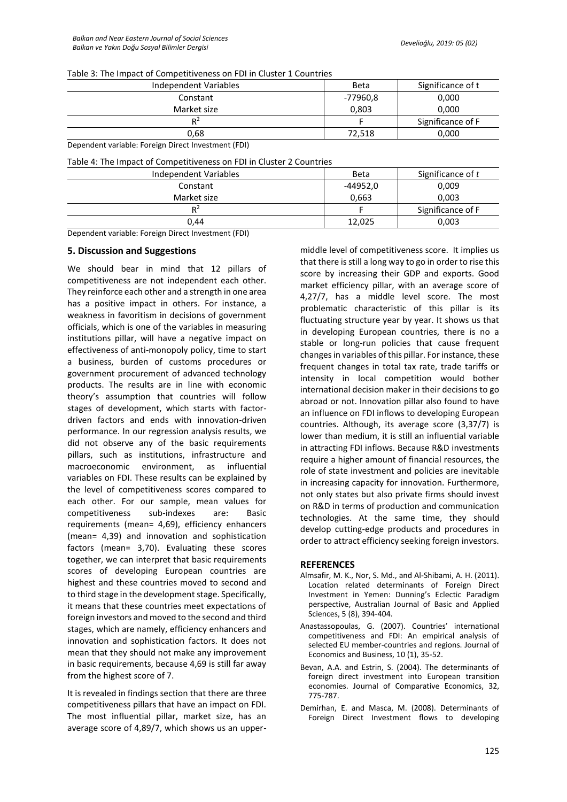Table 3: The Impact of Competitiveness on FDI in Cluster 1 Countries

| Independent Variables                                                                                                                                                                                                                                                                              | <b>Beta</b> | Significance of t |
|----------------------------------------------------------------------------------------------------------------------------------------------------------------------------------------------------------------------------------------------------------------------------------------------------|-------------|-------------------|
| Constant                                                                                                                                                                                                                                                                                           | -77960,8    | 0,000             |
| Market size                                                                                                                                                                                                                                                                                        | 0,803       | 0.000             |
| $R^2$                                                                                                                                                                                                                                                                                              |             | Significance of F |
| 0.68                                                                                                                                                                                                                                                                                               | 72.518      | 0,000             |
| $\mathbf{r}$ . The contract of the contract of $\mathbf{r}$ and $\mathbf{r}$ and $\mathbf{r}$ and $\mathbf{r}$ and $\mathbf{r}$ and $\mathbf{r}$ and $\mathbf{r}$ and $\mathbf{r}$ and $\mathbf{r}$ and $\mathbf{r}$ and $\mathbf{r}$ and $\mathbf{r}$ and $\mathbf{r}$ and $\mathbf{r}$<br>$\sim$ |             |                   |

Dependent variable: Foreign Direct Investment (FDI)

Table 4: The Impact of Competitiveness on FDI in Cluster 2 Countries

| <b>Beta</b> | Significance of t |
|-------------|-------------------|
|             |                   |
| -44952,0    | 0,009             |
| 0,663       | 0,003             |
|             | Significance of F |
| 12,025      | 0,003             |
|             |                   |

Dependent variable: Foreign Direct Investment (FDI)

### **5. Discussion and Suggestions**

We should bear in mind that 12 pillars of competitiveness are not independent each other. They reinforce each other and a strength in one area has a positive impact in others. For instance, a weakness in favoritism in decisions of government officials, which is one of the variables in measuring institutions pillar, will have a negative impact on effectiveness of anti-monopoly policy, time to start a business, burden of customs procedures or government procurement of advanced technology products. The results are in line with economic theory's assumption that countries will follow stages of development, which starts with factordriven factors and ends with innovation-driven performance. In our regression analysis results, we did not observe any of the basic requirements pillars, such as institutions, infrastructure and macroeconomic environment, as influential variables on FDI. These results can be explained by the level of competitiveness scores compared to each other. For our sample, mean values for competitiveness sub-indexes are: Basic requirements (mean= 4,69), efficiency enhancers (mean= 4,39) and innovation and sophistication factors (mean= 3,70). Evaluating these scores together, we can interpret that basic requirements scores of developing European countries are highest and these countries moved to second and to third stage in the development stage. Specifically, it means that these countries meet expectations of foreign investors and moved to the second and third stages, which are namely, efficiency enhancers and innovation and sophistication factors. It does not mean that they should not make any improvement in basic requirements, because 4,69 is still far away from the highest score of 7.

It is revealed in findings section that there are three competitiveness pillars that have an impact on FDI. The most influential pillar, market size, has an average score of 4,89/7, which shows us an uppermiddle level of competitiveness score. It implies us that there is still a long way to go in order to rise this score by increasing their GDP and exports. Good market efficiency pillar, with an average score of 4,27/7, has a middle level score. The most problematic characteristic of this pillar is its fluctuating structure year by year. It shows us that in developing European countries, there is no a stable or long-run policies that cause frequent changes in variables of this pillar. For instance, these frequent changes in total tax rate, trade tariffs or intensity in local competition would bother international decision maker in their decisions to go abroad or not. Innovation pillar also found to have an influence on FDI inflows to developing European countries. Although, its average score (3,37/7) is lower than medium, it is still an influential variable in attracting FDI inflows. Because R&D investments require a higher amount of financial resources, the role of state investment and policies are inevitable in increasing capacity for innovation. Furthermore, not only states but also private firms should invest on R&D in terms of production and communication technologies. At the same time, they should develop cutting-edge products and procedures in order to attract efficiency seeking foreign investors.

#### **REFERENCES**

- Almsafir, M. K., Nor, S. Md., and Al-Shibami, A. H. (2011). Location related determinants of Foreign Direct Investment in Yemen: Dunning's Eclectic Paradigm perspective, Australian Journal of Basic and Applied Sciences, 5 (8), 394-404.
- Anastassopoulas, G. (2007). Countries' international competitiveness and FDI: An empirical analysis of selected EU member-countries and regions. Journal of Economics and Business, 10 (1), 35-52.
- Bevan, A.A. and Estrin, S. (2004). The determinants of foreign direct investment into European transition economies. Journal of Comparative Economics, 32, 775-787.
- Demirhan, E. and Masca, M. (2008). Determinants of Foreign Direct Investment flows to developing